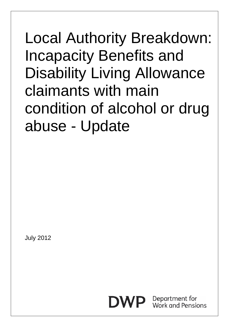Local Authority Breakdown: Incapacity Benefits and Disability Living Allowance claimants with main condition of alcohol or drug abuse - Update

July 2012



Department for Work and Pensions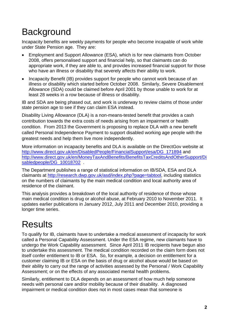## **Background**

Incapacity benefits are weekly payments for people who become incapable of work while under State Pension age. They are:

- Employment and Support Allowance (ESA), which is for new claimants from October 2008, offers personalised support and financial help, so that claimants can do appropriate work, if they are able to, and provides increased financial support for those who have an illness or disability that severely affects their ability to work.
- Incapacity Benefit (IB) provides support for people who cannot work because of an illness or disability which started before October 2008. Similarly, Severe Disablement Allowance (SDA) could be claimed before April 2001 by those unable to work for at least 28 weeks in a row because of illness or disability.

IB and SDA are being phased out, and work is underway to review claims of those under state pension age to see if they can claim ESA instead.

Disability Living Allowance (DLA) is a non-means-tested benefit that provides a cash contribution towards the extra costs of needs arising from an impairment or health condition. From 2013 the Government is proposing to replace DLA with a new benefit called Personal Independence Payment to support disabled working age people with the greatest needs and help them live more independently.

More information on incapacity benefits and DLA is available on the DirectGov website at http://www.direct.gov.uk/en/DisabledPeople/FinancialSupport/esa/DG\_171894 and http://www.direct.gov.uk/en/MoneyTaxAndBenefits/BenefitsTaxCreditsAndOtherSupport/Di sabledpeople/DG\_10018702 .

The Department publishes a range of statistical information on IB/SDA, ESA and DLA claimants at http://research.dwp.gov.uk/asd/index.php?page=tabtool, including statistics on the numbers of claimants by the main medical condition and local authority area of residence of the claimant.

This analysis provides a breakdown of the local authority of residence of those whose main medical condition is drug or alcohol abuse, at February 2010 to November 2011. It updates earlier publications in January 2012, July 2011 and December 2010, providing a longer time series.

## **Results**

To qualify for IB, claimants have to undertake a medical assessment of incapacity for work called a Personal Capability Assessment. Under the ESA regime, new claimants have to undergo the Work Capability assessment. Since April 2011 IB recipients have begun also to undertake this assessment. The medical condition recorded on the claim form does not itself confer entitlement to IB or ESA. So, for example, a decision on entitlement for a customer claiming IB or ESA on the basis of drug or alcohol abuse would be based on their ability to carry out the range of activities assessed by the Personal / Work Capability Assessment; or on the effects of any associated mental health problems.

Similarly, entitlement to DLA depends on an assessment of how much help someone needs with personal care and/or mobility because of their disability. A diagnosed impairment or medical condition does not in most cases mean that someone is